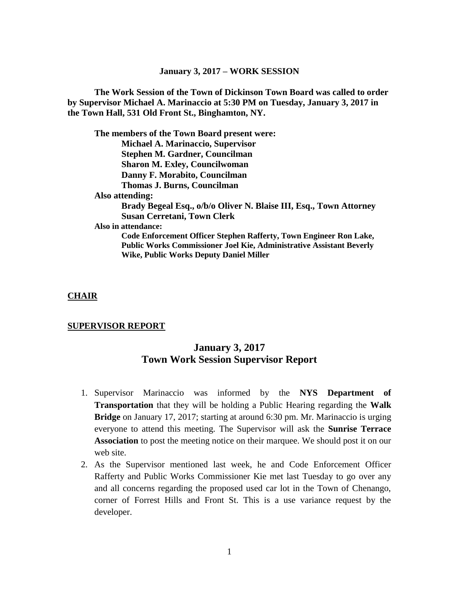**The Work Session of the Town of Dickinson Town Board was called to order by Supervisor Michael A. Marinaccio at 5:30 PM on Tuesday, January 3, 2017 in the Town Hall, 531 Old Front St., Binghamton, NY.**

**The members of the Town Board present were: Michael A. Marinaccio, Supervisor Stephen M. Gardner, Councilman Sharon M. Exley, Councilwoman Danny F. Morabito, Councilman Thomas J. Burns, Councilman Also attending: Brady Begeal Esq., o/b/o Oliver N. Blaise III, Esq., Town Attorney Susan Cerretani, Town Clerk Also in attendance: Code Enforcement Officer Stephen Rafferty, Town Engineer Ron Lake, Public Works Commissioner Joel Kie, Administrative Assistant Beverly Wike, Public Works Deputy Daniel Miller**

#### **CHAIR**

#### **SUPERVISOR REPORT**

# **January 3, 2017 Town Work Session Supervisor Report**

- 1. Supervisor Marinaccio was informed by the **NYS Department of Transportation** that they will be holding a Public Hearing regarding the **Walk Bridge** on January 17, 2017; starting at around 6:30 pm. Mr. Marinaccio is urging everyone to attend this meeting. The Supervisor will ask the **Sunrise Terrace Association** to post the meeting notice on their marquee. We should post it on our web site.
- 2. As the Supervisor mentioned last week, he and Code Enforcement Officer Rafferty and Public Works Commissioner Kie met last Tuesday to go over any and all concerns regarding the proposed used car lot in the Town of Chenango, corner of Forrest Hills and Front St. This is a use variance request by the developer.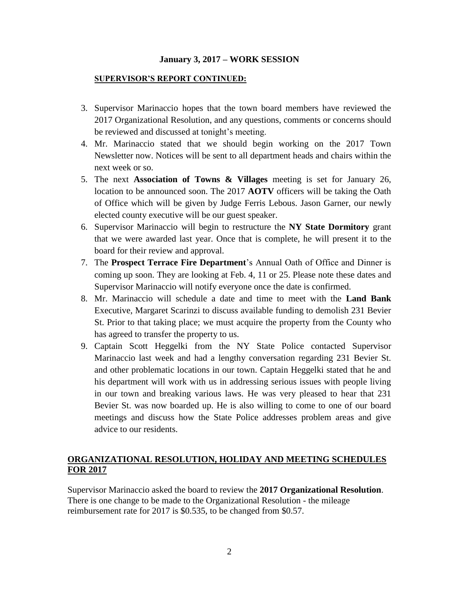#### **SUPERVISOR'S REPORT CONTINUED:**

- 3. Supervisor Marinaccio hopes that the town board members have reviewed the 2017 Organizational Resolution, and any questions, comments or concerns should be reviewed and discussed at tonight's meeting.
- 4. Mr. Marinaccio stated that we should begin working on the 2017 Town Newsletter now. Notices will be sent to all department heads and chairs within the next week or so.
- 5. The next **Association of Towns & Villages** meeting is set for January 26, location to be announced soon. The 2017 **AOTV** officers will be taking the Oath of Office which will be given by Judge Ferris Lebous. Jason Garner, our newly elected county executive will be our guest speaker.
- 6. Supervisor Marinaccio will begin to restructure the **NY State Dormitory** grant that we were awarded last year. Once that is complete, he will present it to the board for their review and approval.
- 7. The **Prospect Terrace Fire Department**'s Annual Oath of Office and Dinner is coming up soon. They are looking at Feb. 4, 11 or 25. Please note these dates and Supervisor Marinaccio will notify everyone once the date is confirmed.
- 8. Mr. Marinaccio will schedule a date and time to meet with the **Land Bank** Executive, Margaret Scarinzi to discuss available funding to demolish 231 Bevier St. Prior to that taking place; we must acquire the property from the County who has agreed to transfer the property to us.
- 9. Captain Scott Heggelki from the NY State Police contacted Supervisor Marinaccio last week and had a lengthy conversation regarding 231 Bevier St. and other problematic locations in our town. Captain Heggelki stated that he and his department will work with us in addressing serious issues with people living in our town and breaking various laws. He was very pleased to hear that 231 Bevier St. was now boarded up. He is also willing to come to one of our board meetings and discuss how the State Police addresses problem areas and give advice to our residents.

#### **ORGANIZATIONAL RESOLUTION, HOLIDAY AND MEETING SCHEDULES FOR 2017**

Supervisor Marinaccio asked the board to review the **2017 Organizational Resolution**. There is one change to be made to the Organizational Resolution - the mileage reimbursement rate for 2017 is \$0.535, to be changed from \$0.57.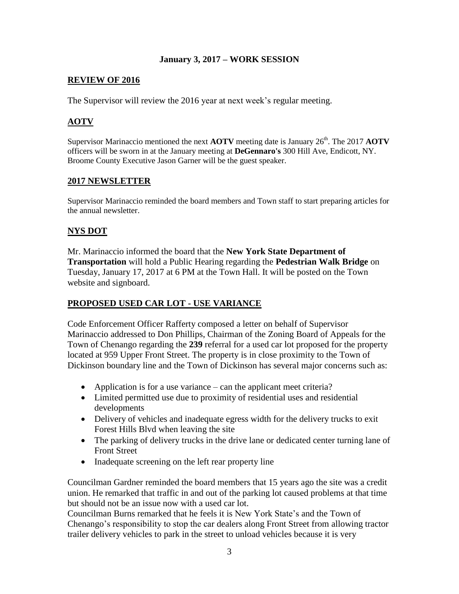#### **REVIEW OF 2016**

The Supervisor will review the 2016 year at next week's regular meeting.

#### **AOTV**

Supervisor Marinaccio mentioned the next **AOTV** meeting date is January 26<sup>th</sup>. The 2017 **AOTV** officers will be sworn in at the January meeting at **DeGennaro's** 300 Hill Ave, Endicott, NY. Broome County Executive Jason Garner will be the guest speaker.

#### **2017 NEWSLETTER**

Supervisor Marinaccio reminded the board members and Town staff to start preparing articles for the annual newsletter.

#### **NYS DOT**

Mr. Marinaccio informed the board that the **New York State Department of Transportation** will hold a Public Hearing regarding the **Pedestrian Walk Bridge** on Tuesday, January 17, 2017 at 6 PM at the Town Hall. It will be posted on the Town website and signboard.

## **PROPOSED USED CAR LOT - USE VARIANCE**

Code Enforcement Officer Rafferty composed a letter on behalf of Supervisor Marinaccio addressed to Don Phillips, Chairman of the Zoning Board of Appeals for the Town of Chenango regarding the **239** referral for a used car lot proposed for the property located at 959 Upper Front Street. The property is in close proximity to the Town of Dickinson boundary line and the Town of Dickinson has several major concerns such as:

- Application is for a use variance can the applicant meet criteria?
- Limited permitted use due to proximity of residential uses and residential developments
- Delivery of vehicles and inadequate egress width for the delivery trucks to exit Forest Hills Blvd when leaving the site
- The parking of delivery trucks in the drive lane or dedicated center turning lane of Front Street
- Inadequate screening on the left rear property line

Councilman Gardner reminded the board members that 15 years ago the site was a credit union. He remarked that traffic in and out of the parking lot caused problems at that time but should not be an issue now with a used car lot.

Councilman Burns remarked that he feels it is New York State's and the Town of Chenango's responsibility to stop the car dealers along Front Street from allowing tractor trailer delivery vehicles to park in the street to unload vehicles because it is very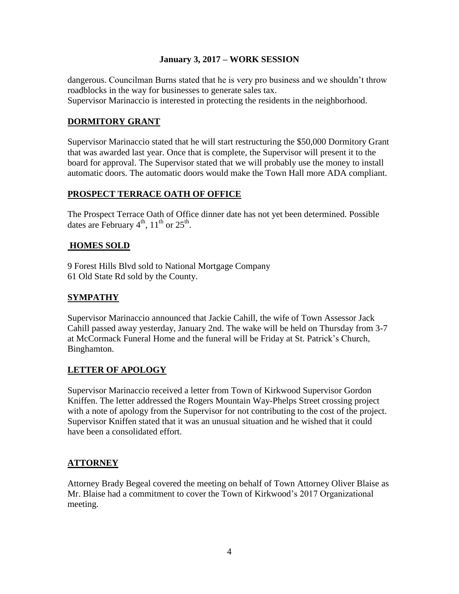dangerous. Councilman Burns stated that he is very pro business and we shouldn't throw roadblocks in the way for businesses to generate sales tax. Supervisor Marinaccio is interested in protecting the residents in the neighborhood.

## **DORMITORY GRANT**

Supervisor Marinaccio stated that he will start restructuring the \$50,000 Dormitory Grant that was awarded last year. Once that is complete, the Supervisor will present it to the board for approval. The Supervisor stated that we will probably use the money to install automatic doors. The automatic doors would make the Town Hall more ADA compliant.

# **PROSPECT TERRACE OATH OF OFFICE**

The Prospect Terrace Oath of Office dinner date has not yet been determined. Possible dates are February  $4<sup>th</sup>$ ,  $11<sup>th</sup>$  or  $25<sup>th</sup>$ .

## **HOMES SOLD**

9 Forest Hills Blvd sold to National Mortgage Company 61 Old State Rd sold by the County.

# **SYMPATHY**

Supervisor Marinaccio announced that Jackie Cahill, the wife of Town Assessor Jack Cahill passed away yesterday, January 2nd. The wake will be held on Thursday from 3-7 at McCormack Funeral Home and the funeral will be Friday at St. Patrick's Church, Binghamton.

## **LETTER OF APOLOGY**

Supervisor Marinaccio received a letter from Town of Kirkwood Supervisor Gordon Kniffen. The letter addressed the Rogers Mountain Way-Phelps Street crossing project with a note of apology from the Supervisor for not contributing to the cost of the project. Supervisor Kniffen stated that it was an unusual situation and he wished that it could have been a consolidated effort.

# **ATTORNEY**

Attorney Brady Begeal covered the meeting on behalf of Town Attorney Oliver Blaise as Mr. Blaise had a commitment to cover the Town of Kirkwood's 2017 Organizational meeting.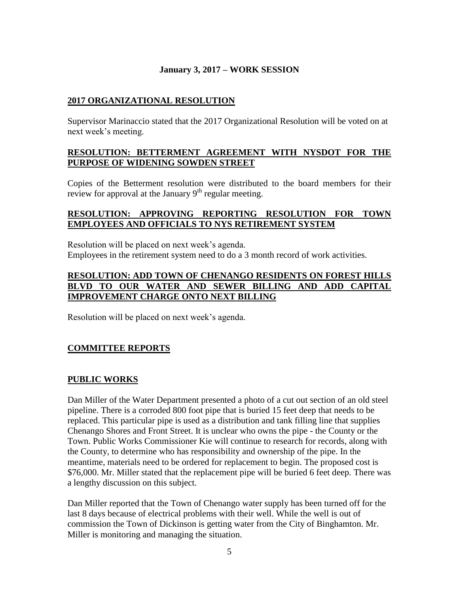#### **2017 ORGANIZATIONAL RESOLUTION**

Supervisor Marinaccio stated that the 2017 Organizational Resolution will be voted on at next week's meeting.

#### **RESOLUTION: BETTERMENT AGREEMENT WITH NYSDOT FOR THE PURPOSE OF WIDENING SOWDEN STREET**

Copies of the Betterment resolution were distributed to the board members for their review for approval at the January  $9<sup>th</sup>$  regular meeting.

#### **RESOLUTION: APPROVING REPORTING RESOLUTION FOR TOWN EMPLOYEES AND OFFICIALS TO NYS RETIREMENT SYSTEM**

Resolution will be placed on next week's agenda. Employees in the retirement system need to do a 3 month record of work activities.

#### **RESOLUTION: ADD TOWN OF CHENANGO RESIDENTS ON FOREST HILLS BLVD TO OUR WATER AND SEWER BILLING AND ADD CAPITAL IMPROVEMENT CHARGE ONTO NEXT BILLING**

Resolution will be placed on next week's agenda.

## **COMMITTEE REPORTS**

# **PUBLIC WORKS**

Dan Miller of the Water Department presented a photo of a cut out section of an old steel pipeline. There is a corroded 800 foot pipe that is buried 15 feet deep that needs to be replaced. This particular pipe is used as a distribution and tank filling line that supplies Chenango Shores and Front Street. It is unclear who owns the pipe - the County or the Town. Public Works Commissioner Kie will continue to research for records, along with the County, to determine who has responsibility and ownership of the pipe. In the meantime, materials need to be ordered for replacement to begin. The proposed cost is \$76,000. Mr. Miller stated that the replacement pipe will be buried 6 feet deep. There was a lengthy discussion on this subject.

Dan Miller reported that the Town of Chenango water supply has been turned off for the last 8 days because of electrical problems with their well. While the well is out of commission the Town of Dickinson is getting water from the City of Binghamton. Mr. Miller is monitoring and managing the situation.